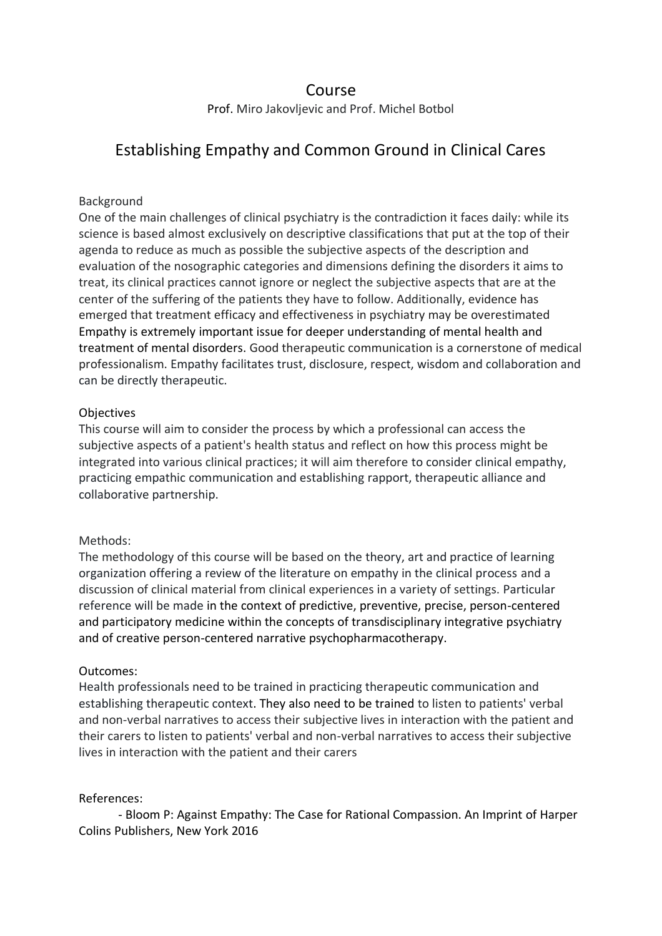## Course

Prof. Miro Jakovljevic and Prof. Michel Botbol

# Establishing Empathy and Common Ground in Clinical Cares

#### Background

One of the main challenges of clinical psychiatry is the contradiction it faces daily: while its science is based almost exclusively on descriptive classifications that put at the top of their agenda to reduce as much as possible the subjective aspects of the description and evaluation of the nosographic categories and dimensions defining the disorders it aims to treat, its clinical practices cannot ignore or neglect the subjective aspects that are at the center of the suffering of the patients they have to follow. Additionally, evidence has emerged that treatment efficacy and effectiveness in psychiatry may be overestimated Empathy is extremely important issue for deeper understanding of mental health and treatment of mental disorders. Good therapeutic communication is a cornerstone of medical professionalism. Empathy facilitates trust, disclosure, respect, wisdom and collaboration and can be directly therapeutic.

### **Objectives**

This course will aim to consider the process by which a professional can access the subjective aspects of a patient's health status and reflect on how this process might be integrated into various clinical practices; it will aim therefore to consider clinical empathy, practicing empathic communication and establishing rapport, therapeutic alliance and collaborative partnership.

### Methods:

The methodology of this course will be based on the theory, art and practice of learning organization offering a review of the literature on empathy in the clinical process and a discussion of clinical material from clinical experiences in a variety of settings. Particular reference will be made in the context of predictive, preventive, precise, person-centered and participatory medicine within the concepts of transdisciplinary integrative psychiatry and of creative person-centered narrative psychopharmacotherapy.

### Outcomes:

Health professionals need to be trained in practicing therapeutic communication and establishing therapeutic context. They also need to be trained to listen to patients' verbal and non-verbal narratives to access their subjective lives in interaction with the patient and their carers to listen to patients' verbal and non-verbal narratives to access their subjective lives in interaction with the patient and their carers

### References:

- Bloom P: Against Empathy: The Case for Rational Compassion. An Imprint of Harper Colins Publishers, New York 2016